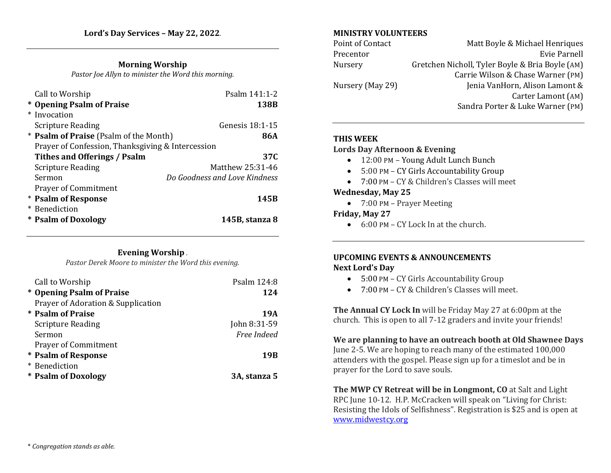# **Morning Worship**

*Pastor Joe Allyn to minister the Word this morning.* 

| Call to Worship                                   | Psalm 141:1-2                 |
|---------------------------------------------------|-------------------------------|
| * Opening Psalm of Praise                         | 138B                          |
| * Invocation                                      |                               |
| <b>Scripture Reading</b>                          | <b>Genesis 18:1-15</b>        |
| * <b>Psalm of Praise</b> (Psalm of the Month)     | 86A                           |
| Prayer of Confession, Thanksgiving & Intercession |                               |
| Tithes and Offerings / Psalm                      | 37C                           |
| <b>Scripture Reading</b>                          | Matthew 25:31-46              |
| Sermon                                            | Do Goodness and Love Kindness |
| <b>Prayer of Commitment</b>                       |                               |
| * Psalm of Response                               | 145B                          |
| * Benediction                                     |                               |
| * Psalm of Doxology                               | 145B, stanza 8                |

#### **Evening Worship** *.*

*Pastor Derek Moore to minister the Word this evening.*

| Call to Worship                    | Psalm 124:8  |
|------------------------------------|--------------|
| * Opening Psalm of Praise          | 124          |
| Prayer of Adoration & Supplication |              |
| * Psalm of Praise                  | 19A          |
| <b>Scripture Reading</b>           | John 8:31-59 |
| Sermon                             | Free Indeed  |
| <b>Prayer of Commitment</b>        |              |
| * Psalm of Response                | 19B          |
| * Benediction                      |              |
| * Psalm of Doxology                | 3A, stanza 5 |

#### **MINISTRY VOLUNTEERS**

| Point of Contact | Matt Boyle & Michael Henriques                  |
|------------------|-------------------------------------------------|
| Precentor        | Evie Parnell                                    |
| Nursery          | Gretchen Nicholl, Tyler Boyle & Bria Boyle (AM) |
|                  | Carrie Wilson & Chase Warner (PM)               |
| Nursery (May 29) | Jenia VanHorn, Alison Lamont &                  |
|                  | Carter Lamont (AM)                              |
|                  | Sandra Porter & Luke Warner (PM)                |

# **THIS WEEK**

#### **Lords Day Afternoon & Evening**

- 12:00 PM Young Adult Lunch Bunch
- 5:00 PM CY Girls Accountability Group
- 7:00 PM CY & Children's Classes will meet

#### **Wednesday, May 25**

• 7:00 PM – Prayer Meeting

### **Friday, May 27**

• 6:00 PM – CY Lock In at the church.

# **UPCOMING EVENTS & ANNOUNCEMENTS Next Lord's Day**

- 5:00 PM CY Girls Accountability Group
- 7:00 PM CY & Children's Classes will meet.

**The Annual CY Lock In** will be Friday May 27 at 6:00pm at the church. This is open to all 7-12 graders and invite your friends!

# **We are planning to have an outreach booth at Old Shawnee Days**

June 2-5. We are hoping to reach many of the estimated 100,000 attenders with the gospel. Please sign up for a timeslot and be in prayer for the Lord to save souls.

**The MWP CY Retreat will be in Longmont, CO** at Salt and Light RPC June 10-12. H.P. McCracken will speak on "Living for Christ: Resisting the Idols of Selfishness". Registration is \$25 and is open at [www.midwestcy.org](http://www.midwestcy.org/)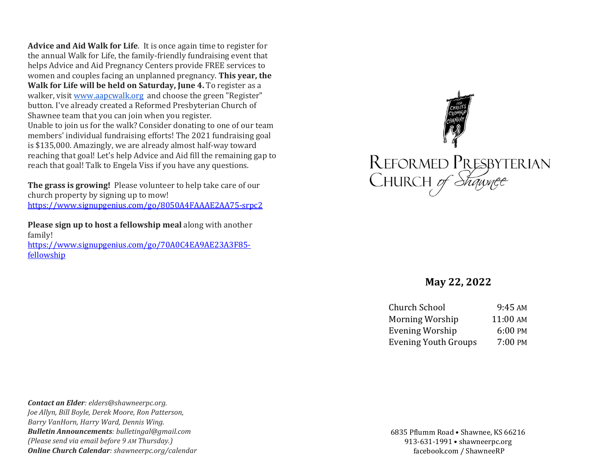**Advice and Aid Walk for Life**. It is once again time to register for the annual Walk for Life, the family-friendly fundraising event that helps Advice and Aid Pregnancy Centers provide FREE services to women and couples facing an unplanned pregnancy. **This year, the Walk for Life will be held on Saturday, June 4.** To register as a walker, visit [www.aapcwalk.org](http://www.aapcwalk.org/) and choose the green "Register" button. I've already created a Reformed Presbyterian Church of Shawnee team that you can join when you register. Unable to join us for the walk? Consider donating to one of our team members' individual fundraising efforts! The 2021 fundraising goal is \$135,000. Amazingly, we are already almost half-way toward reaching that goal! Let's help Advice and Aid fill the remaining gap to reach that goal! Talk to Engela Viss if you have any questions.

**The grass is growing!** Please volunteer to help take care of our church property by signing up to mow! <https://www.signupgenius.com/go/8050A4FAAAE2AA75-srpc2>

**Please sign up to host a fellowship meal** along with another family!

[https://www.signupgenius.com/go/70A0C4EA9AE23A3F85](https://www.signupgenius.com/go/70A0C4EA9AE23A3F85-fellowship) [fellowship](https://www.signupgenius.com/go/70A0C4EA9AE23A3F85-fellowship)



# **May 22, 2022**

| 9:45 AM  |
|----------|
| 11:00 AM |
| 6:00 PM  |
| 7:00 PM  |
|          |

*Contact an Elder: elders@shawneerpc.org. Joe Allyn, Bill Boyle, Derek Moore, Ron Patterson, Barry VanHorn, Harry Ward, Dennis Wing. Bulletin Announcements: bulletingal@gmail.com (Please send via email before 9 AM Thursday.) Online Church Calendar: shawneerpc.org/calendar*

6835 Pflumm Road • Shawnee, KS 66216 913-631-1991 • shawneerpc.org facebook.com / ShawneeRP